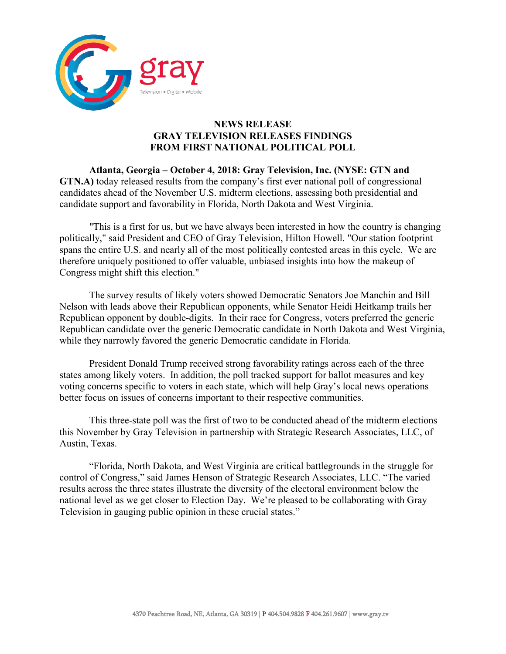

## **NEWS RELEASE GRAY TELEVISION RELEASES FINDINGS FROM FIRST NATIONAL POLITICAL POLL**

**Atlanta, Georgia – October 4, 2018: Gray Television, Inc. (NYSE: GTN and GTN.A)** today released results from the company's first ever national poll of congressional candidates ahead of the November U.S. midterm elections, assessing both presidential and candidate support and favorability in Florida, North Dakota and West Virginia.

"This is a first for us, but we have always been interested in how the country is changing politically," said President and CEO of Gray Television, Hilton Howell. "Our station footprint spans the entire U.S. and nearly all of the most politically contested areas in this cycle. We are therefore uniquely positioned to offer valuable, unbiased insights into how the makeup of Congress might shift this election."

The survey results of likely voters showed Democratic Senators Joe Manchin and Bill Nelson with leads above their Republican opponents, while Senator Heidi Heitkamp trails her Republican opponent by double-digits. In their race for Congress, voters preferred the generic Republican candidate over the generic Democratic candidate in North Dakota and West Virginia, while they narrowly favored the generic Democratic candidate in Florida.

President Donald Trump received strong favorability ratings across each of the three states among likely voters. In addition, the poll tracked support for ballot measures and key voting concerns specific to voters in each state, which will help Gray's local news operations better focus on issues of concerns important to their respective communities.

This three-state poll was the first of two to be conducted ahead of the midterm elections this November by Gray Television in partnership with Strategic Research Associates, LLC, of Austin, Texas.

"Florida, North Dakota, and West Virginia are critical battlegrounds in the struggle for control of Congress," said James Henson of Strategic Research Associates, LLC. "The varied results across the three states illustrate the diversity of the electoral environment below the national level as we get closer to Election Day. We're pleased to be collaborating with Gray Television in gauging public opinion in these crucial states."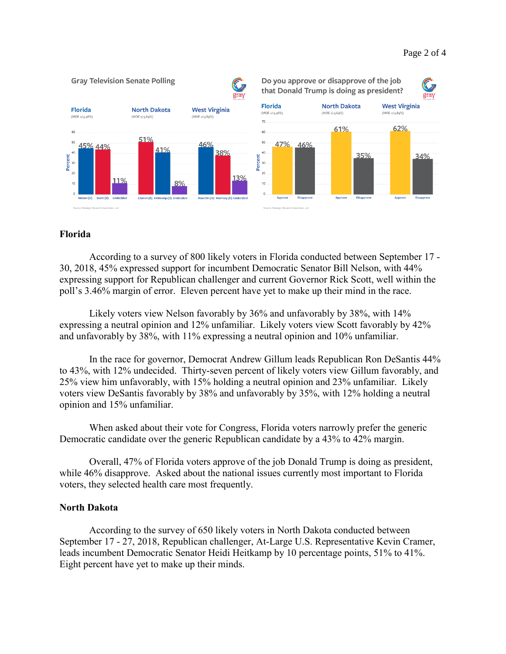#### Page 2 of 4



#### **Florida**

According to a survey of 800 likely voters in Florida conducted between September 17 - 30, 2018, 45% expressed support for incumbent Democratic Senator Bill Nelson, with 44% expressing support for Republican challenger and current Governor Rick Scott, well within the poll's 3.46% margin of error. Eleven percent have yet to make up their mind in the race.

Likely voters view Nelson favorably by 36% and unfavorably by 38%, with 14% expressing a neutral opinion and 12% unfamiliar. Likely voters view Scott favorably by 42% and unfavorably by 38%, with 11% expressing a neutral opinion and 10% unfamiliar.

In the race for governor, Democrat Andrew Gillum leads Republican Ron DeSantis 44% to 43%, with 12% undecided. Thirty-seven percent of likely voters view Gillum favorably, and 25% view him unfavorably, with 15% holding a neutral opinion and 23% unfamiliar. Likely voters view DeSantis favorably by 38% and unfavorably by 35%, with 12% holding a neutral opinion and 15% unfamiliar.

When asked about their vote for Congress, Florida voters narrowly prefer the generic Democratic candidate over the generic Republican candidate by a 43% to 42% margin.

Overall, 47% of Florida voters approve of the job Donald Trump is doing as president, while 46% disapprove. Asked about the national issues currently most important to Florida voters, they selected health care most frequently.

#### **North Dakota**

According to the survey of 650 likely voters in North Dakota conducted between September 17 - 27, 2018, Republican challenger, At-Large U.S. Representative Kevin Cramer, leads incumbent Democratic Senator Heidi Heitkamp by 10 percentage points, 51% to 41%. Eight percent have yet to make up their minds.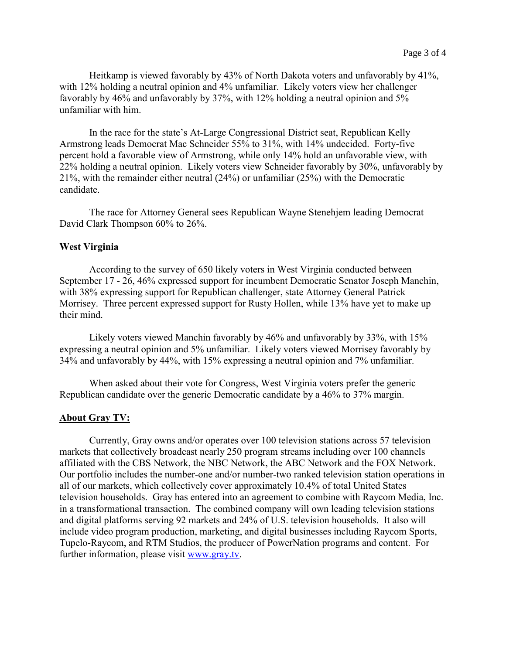Heitkamp is viewed favorably by 43% of North Dakota voters and unfavorably by 41%, with 12% holding a neutral opinion and 4% unfamiliar. Likely voters view her challenger favorably by 46% and unfavorably by 37%, with 12% holding a neutral opinion and 5% unfamiliar with him.

In the race for the state's At-Large Congressional District seat, Republican Kelly Armstrong leads Democrat Mac Schneider 55% to 31%, with 14% undecided. Forty-five percent hold a favorable view of Armstrong, while only 14% hold an unfavorable view, with 22% holding a neutral opinion. Likely voters view Schneider favorably by 30%, unfavorably by 21%, with the remainder either neutral (24%) or unfamiliar (25%) with the Democratic candidate.

The race for Attorney General sees Republican Wayne Stenehjem leading Democrat David Clark Thompson 60% to 26%.

#### **West Virginia**

According to the survey of 650 likely voters in West Virginia conducted between September 17 - 26, 46% expressed support for incumbent Democratic Senator Joseph Manchin, with 38% expressing support for Republican challenger, state Attorney General Patrick Morrisey. Three percent expressed support for Rusty Hollen, while 13% have yet to make up their mind.

Likely voters viewed Manchin favorably by 46% and unfavorably by 33%, with 15% expressing a neutral opinion and 5% unfamiliar. Likely voters viewed Morrisey favorably by 34% and unfavorably by 44%, with 15% expressing a neutral opinion and 7% unfamiliar.

When asked about their vote for Congress, West Virginia voters prefer the generic Republican candidate over the generic Democratic candidate by a 46% to 37% margin.

#### **About Gray TV:**

Currently, Gray owns and/or operates over 100 television stations across 57 television markets that collectively broadcast nearly 250 program streams including over 100 channels affiliated with the CBS Network, the NBC Network, the ABC Network and the FOX Network. Our portfolio includes the number-one and/or number-two ranked television station operations in all of our markets, which collectively cover approximately 10.4% of total United States television households. Gray has entered into an agreement to combine with Raycom Media, Inc. in a transformational transaction. The combined company will own leading television stations and digital platforms serving 92 markets and 24% of U.S. television households. It also will include video program production, marketing, and digital businesses including Raycom Sports, Tupelo-Raycom, and RTM Studios, the producer of PowerNation programs and content. For further information, please visit [www.gray.tv.](http://www.gray.tv/)